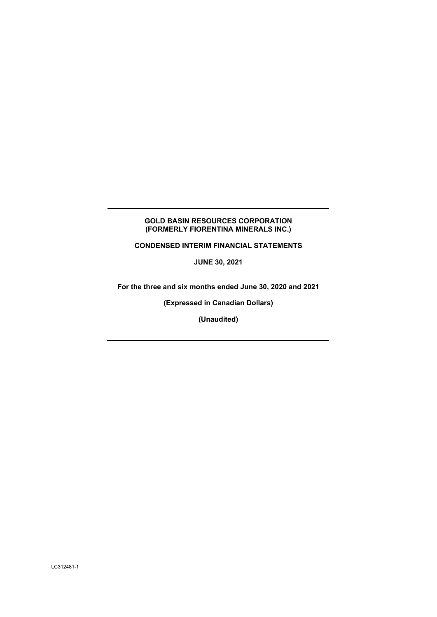# **GOLD BASIN RESOURCES CORPORATION (FORMERLY FIORENTINA MINERALS INC.)**

**CONDENSED INTERIM FINANCIAL STATEMENTS** 

**JUNE 30, 2021** 

**For the three and six months ended June 30, 2020 and 2021** 

**(Expressed in Canadian Dollars)** 

**(Unaudited)**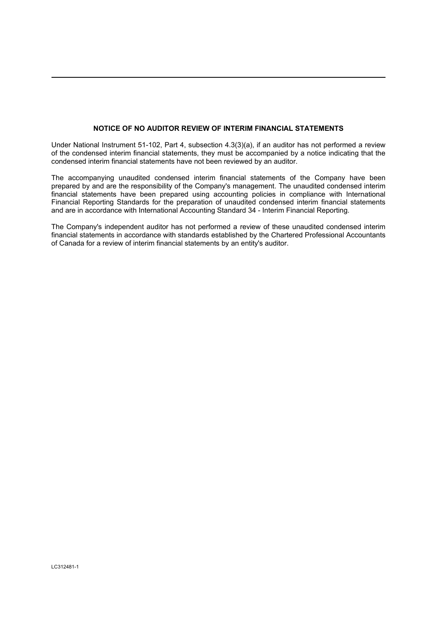# **NOTICE OF NO AUDITOR REVIEW OF INTERIM FINANCIAL STATEMENTS**

Under National Instrument 51-102, Part 4, subsection 4.3(3)(a), if an auditor has not performed a review of the condensed interim financial statements, they must be accompanied by a notice indicating that the condensed interim financial statements have not been reviewed by an auditor.

The accompanying unaudited condensed interim financial statements of the Company have been prepared by and are the responsibility of the Company's management. The unaudited condensed interim financial statements have been prepared using accounting policies in compliance with International Financial Reporting Standards for the preparation of unaudited condensed interim financial statements and are in accordance with International Accounting Standard 34 - Interim Financial Reporting.

The Company's independent auditor has not performed a review of these unaudited condensed interim financial statements in accordance with standards established by the Chartered Professional Accountants of Canada for a review of interim financial statements by an entity's auditor.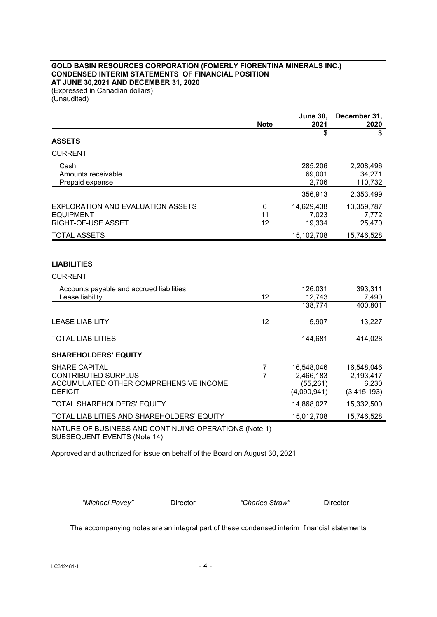# **GOLD BASIN RESOURCES CORPORATION (FOMERLY FIORENTINA MINERALS INC.) CONDENSED INTERIM STATEMENTS OF FINANCIAL POSITION AT JUNE 30,2021 AND DECEMBER 31, 2020**

(Expressed in Canadian dollars) (Unaudited)

|                                                                                                                | <b>Note</b>                      | <b>June 30,</b><br>2021                             | December 31,<br>2020                              |
|----------------------------------------------------------------------------------------------------------------|----------------------------------|-----------------------------------------------------|---------------------------------------------------|
| <b>ASSETS</b>                                                                                                  |                                  | \$                                                  | \$                                                |
| <b>CURRENT</b>                                                                                                 |                                  |                                                     |                                                   |
| Cash<br>Amounts receivable<br>Prepaid expense                                                                  |                                  | 285,206<br>69,001<br>2,706                          | 2,208,496<br>34,271<br>110,732                    |
|                                                                                                                |                                  | 356,913                                             | 2,353,499                                         |
| <b>EXPLORATION AND EVALUATION ASSETS</b><br><b>EQUIPMENT</b><br>RIGHT-OF-USE ASSET                             | 6<br>11<br>12                    | 14,629,438<br>7,023<br>19,334                       | 13,359,787<br>7,772<br>25,470                     |
| <b>TOTAL ASSETS</b>                                                                                            |                                  | 15,102,708                                          | 15,746,528                                        |
| <b>LIABILITIES</b><br><b>CURRENT</b>                                                                           |                                  |                                                     |                                                   |
| Accounts payable and accrued liabilities<br>Lease liability                                                    | 12                               | 126,031<br>12,743                                   | 393,311<br>7,490                                  |
|                                                                                                                |                                  | 138,774                                             | 400,801                                           |
| <b>LEASE LIABILITY</b>                                                                                         | 12                               | 5,907                                               | 13,227                                            |
| <b>TOTAL LIABILITIES</b>                                                                                       |                                  | 144,681                                             | 414,028                                           |
| <b>SHAREHOLDERS' EQUITY</b>                                                                                    |                                  |                                                     |                                                   |
| <b>SHARE CAPITAL</b><br><b>CONTRIBUTED SURPLUS</b><br>ACCUMULATED OTHER COMPREHENSIVE INCOME<br><b>DEFICIT</b> | $\overline{7}$<br>$\overline{7}$ | 16,548,046<br>2,466,183<br>(55, 261)<br>(4,090,941) | 16,548,046<br>2,193,417<br>6,230<br>(3, 415, 193) |
| TOTAL SHAREHOLDERS' EQUITY                                                                                     |                                  | 14,868,027                                          | 15,332,500                                        |
| TOTAL LIABILITIES AND SHAREHOLDERS' EQUITY                                                                     |                                  | 15,012,708                                          | 15,746,528                                        |
|                                                                                                                |                                  |                                                     |                                                   |

NATURE OF BUSINESS AND CONTINUING OPERATIONS (Note 1) SUBSEQUENT EVENTS (Note 14)

Approved and authorized for issue on behalf of the Board on August 30, 2021

*"Michael Povey"* Director *"Charles Straw"* Director

The accompanying notes are an integral part of these condensed interim financial statements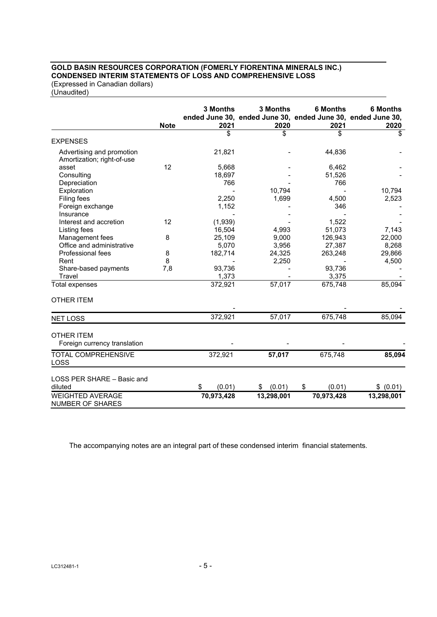# **GOLD BASIN RESOURCES CORPORATION (FOMERLY FIORENTINA MINERALS INC.) CONDENSED INTERIM STATEMENTS OF LOSS AND COMPREHENSIVE LOSS**

(Expressed in Canadian dollars) (Unaudited)

|                                                         | <b>Note</b> | 3 Months<br>2021 | 3 Months<br>ended June 30, ended June 30, ended June 30, ended June 30,<br>2020 | <b>6 Months</b><br>2021 | <b>6 Months</b><br>2020 |
|---------------------------------------------------------|-------------|------------------|---------------------------------------------------------------------------------|-------------------------|-------------------------|
|                                                         |             | \$               | \$                                                                              | \$                      | \$                      |
| <b>EXPENSES</b>                                         |             |                  |                                                                                 |                         |                         |
| Advertising and promotion<br>Amortization; right-of-use |             | 21,821           |                                                                                 | 44,836                  |                         |
| asset                                                   | 12          | 5,668            |                                                                                 | 6,462                   |                         |
| Consulting                                              |             | 18,697           |                                                                                 | 51,526                  |                         |
| Depreciation                                            |             | 766              |                                                                                 | 766                     |                         |
| Exploration                                             |             |                  | 10,794                                                                          |                         | 10,794                  |
| <b>Filing fees</b>                                      |             | 2,250            | 1,699                                                                           | 4,500                   | 2,523                   |
| Foreign exchange                                        |             | 1,152            |                                                                                 | 346                     |                         |
| Insurance                                               |             |                  |                                                                                 |                         |                         |
| Interest and accretion                                  | 12          | (1,939)          |                                                                                 | 1,522                   |                         |
| Listing fees                                            |             | 16,504           | 4,993                                                                           | 51,073                  | 7,143                   |
| Management fees                                         | 8           | 25,109           | 9,000                                                                           | 126,943                 | 22,000                  |
| Office and administrative                               |             | 5,070            | 3,956                                                                           | 27,387                  | 8,268                   |
| Professional fees                                       | 8           | 182,714          | 24,325                                                                          | 263,248                 | 29,866                  |
| Rent                                                    | 8           |                  | 2,250                                                                           |                         | 4,500                   |
| Share-based payments                                    | 7,8         | 93,736           |                                                                                 | 93,736                  |                         |
| Travel                                                  |             | 1,373            |                                                                                 | 3,375                   |                         |
| Total expenses                                          |             | 372,921          | 57,017                                                                          | 675,748                 | 85,094                  |
| <b>OTHER ITEM</b>                                       |             |                  |                                                                                 |                         |                         |
| <b>NET LOSS</b>                                         |             | 372,921          | 57,017                                                                          | 675,748                 | 85,094                  |
|                                                         |             |                  |                                                                                 |                         |                         |
| <b>OTHER ITEM</b><br>Foreign currency translation       |             |                  |                                                                                 |                         |                         |
| <b>TOTAL COMPREHENSIVE</b><br>LOSS                      |             | 372,921          | 57,017                                                                          | 675,748                 | 85,094                  |
| LOSS PER SHARE - Basic and<br>diluted                   |             | (0.01)<br>\$     | \$ (0.01)                                                                       | \$<br>(0.01)            | \$ (0.01)               |
| <b>WEIGHTED AVERAGE</b><br><b>NUMBER OF SHARES</b>      |             | 70,973,428       | 13,298,001                                                                      | 70,973,428              | 13,298,001              |

The accompanying notes are an integral part of these condensed interim financial statements.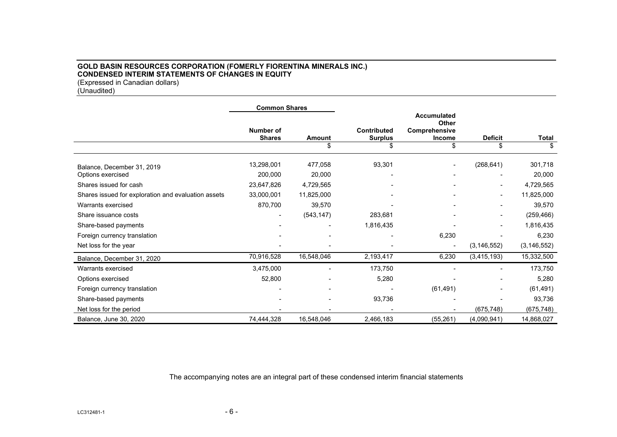# **GOLD BASIN RESOURCES CORPORATION (FOMERLY FIORENTINA MINERALS INC.) CONDENSED INTERIM STATEMENTS OF CHANGES IN EQUITY**  (Expressed in Canadian dollars)

(Unaudited)

|                                                     | <b>Common Shares</b>              |                   |                                      |                                                               |                          |                   |
|-----------------------------------------------------|-----------------------------------|-------------------|--------------------------------------|---------------------------------------------------------------|--------------------------|-------------------|
|                                                     | <b>Number of</b><br><b>Shares</b> | <b>Amount</b>     | <b>Contributed</b><br><b>Surplus</b> | <b>Accumulated</b><br><b>Other</b><br>Comprehensive<br>Income | <b>Deficit</b>           | Total             |
|                                                     |                                   | \$                | \$                                   | \$                                                            | \$                       | \$                |
| Balance, December 31, 2019<br>Options exercised     | 13,298,001<br>200,000             | 477,058<br>20,000 | 93,301                               |                                                               | (268, 641)               | 301,718<br>20,000 |
| Shares issued for cash                              | 23,647,826                        | 4,729,565         |                                      |                                                               | $\overline{\phantom{0}}$ | 4,729,565         |
| Shares issued for exploration and evaluation assets | 33,000,001                        | 11,825,000        |                                      |                                                               |                          | 11,825,000        |
| Warrants exercised                                  | 870,700                           | 39,570            |                                      |                                                               |                          | 39,570            |
| Share issuance costs                                | $\overline{\phantom{0}}$          | (543, 147)        | 283,681                              |                                                               |                          | (259, 466)        |
| Share-based payments                                |                                   |                   | 1,816,435                            |                                                               |                          | 1,816,435         |
| Foreign currency translation                        |                                   |                   |                                      | 6,230                                                         |                          | 6,230             |
| Net loss for the year                               |                                   |                   |                                      |                                                               | (3, 146, 552)            | (3, 146, 552)     |
| Balance, December 31, 2020                          | 70,916,528                        | 16,548,046        | 2,193,417                            | 6,230                                                         | (3, 415, 193)            | 15,332,500        |
| Warrants exercised                                  | 3,475,000                         |                   | 173,750                              |                                                               |                          | 173,750           |
| Options exercised                                   | 52,800                            |                   | 5,280                                |                                                               |                          | 5,280             |
| Foreign currency translation                        |                                   |                   |                                      | (61, 491)                                                     |                          | (61, 491)         |
| Share-based payments                                |                                   |                   | 93,736                               |                                                               |                          | 93,736            |
| Net loss for the period                             |                                   |                   |                                      |                                                               | (675, 748)               | (675, 748)        |
| Balance, June 30, 2020                              | 74,444,328                        | 16,548,046        | 2,466,183                            | (55, 261)                                                     | (4,090,941)              | 14,868,027        |

The accompanying notes are an integral part of these condensed interim financial statements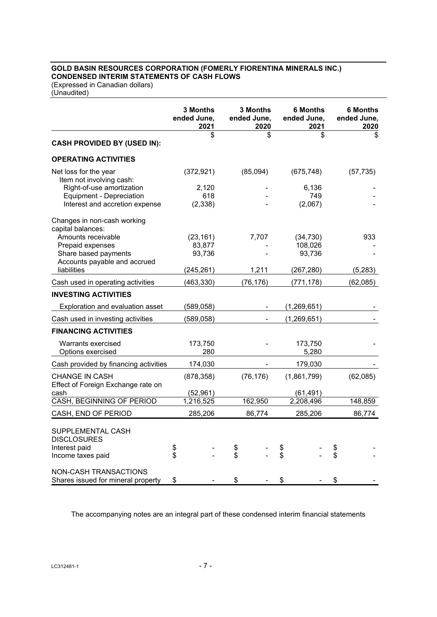# **GOLD BASIN RESOURCES CORPORATION (FOMERLY FIORENTINA MINERALS INC.) CONDENSED INTERIM STATEMENTS OF CASH FLOWS**

(Expressed in Canadian dollars) (Unaudited)

|                                                                                                                                                                   |          | <b>3 Months</b><br>ended June,<br>2021      |          | <b>3 Months</b><br>ended June,<br>2020 |          | <b>6 Months</b><br>ended June,<br>2021       |          | <b>6 Months</b><br>ended June,<br>2020 |
|-------------------------------------------------------------------------------------------------------------------------------------------------------------------|----------|---------------------------------------------|----------|----------------------------------------|----------|----------------------------------------------|----------|----------------------------------------|
| <b>CASH PROVIDED BY (USED IN):</b>                                                                                                                                |          | \$                                          |          | \$                                     |          | \$                                           |          | \$                                     |
| <b>OPERATING ACTIVITIES</b>                                                                                                                                       |          |                                             |          |                                        |          |                                              |          |                                        |
| Net loss for the year<br>Item not involving cash:<br>Right-of-use amortization<br>Equipment - Depreciation<br>Interest and accretion expense                      |          | (372, 921)<br>2,120<br>618<br>(2, 338)      |          | (85,094)                               |          | (675, 748)<br>6,136<br>749<br>(2,067)        |          | (57, 735)                              |
| Changes in non-cash working<br>capital balances:<br>Amounts receivable<br>Prepaid expenses<br>Share based payments<br>Accounts payable and accrued<br>liabilities |          | (23, 161)<br>83,877<br>93,736<br>(245, 261) |          | 7,707<br>1,211                         |          | (34, 730)<br>108,026<br>93,736<br>(267, 280) |          | 933<br>(5,283)                         |
| Cash used in operating activities                                                                                                                                 |          | (463, 330)                                  |          | (76, 176)                              |          | (771,178)                                    |          | (62,085)                               |
| <b>INVESTING ACTIVITIES</b>                                                                                                                                       |          |                                             |          |                                        |          |                                              |          |                                        |
| Exploration and evaluation asset                                                                                                                                  |          | (589,058)                                   |          |                                        |          | (1,269,651)                                  |          |                                        |
| Cash used in investing activities                                                                                                                                 |          | (589, 058)                                  |          |                                        |          | (1,269,651)                                  |          |                                        |
| <b>FINANCING ACTIVITIES</b>                                                                                                                                       |          |                                             |          |                                        |          |                                              |          |                                        |
| Warrants exercised<br>Options exercised                                                                                                                           |          | 173,750<br>280                              |          |                                        |          | 173,750<br>5,280                             |          |                                        |
| Cash provided by financing activities                                                                                                                             |          | 174,030                                     |          |                                        |          | 179,030                                      |          |                                        |
| <b>CHANGE IN CASH</b><br>Effect of Foreign Exchange rate on<br>cash                                                                                               |          | (878, 358)<br>(52, 961)                     |          | (76, 176)                              |          | (1,861,799)<br>(61, 491)                     |          | (62,085)                               |
| CASH, BEGINNING OF PERIOD                                                                                                                                         |          | 1,216,525                                   |          | 162,950                                |          | 2,208,496                                    |          | 148,859                                |
| CASH, END OF PERIOD                                                                                                                                               |          | 285,206                                     |          | 86,774                                 |          | 285,206                                      |          | 86,774                                 |
| SUPPLEMENTAL CASH<br><b>DISCLOSURES</b><br>Interest paid<br>Income taxes paid<br><b>NON-CASH TRANSACTIONS</b>                                                     | \$<br>\$ |                                             | \$<br>\$ |                                        | \$<br>\$ |                                              | \$<br>\$ |                                        |
| Shares issued for mineral property                                                                                                                                | \$       |                                             | \$       |                                        | \$       |                                              | \$       |                                        |

The accompanying notes are an integral part of these condensed interim financial statements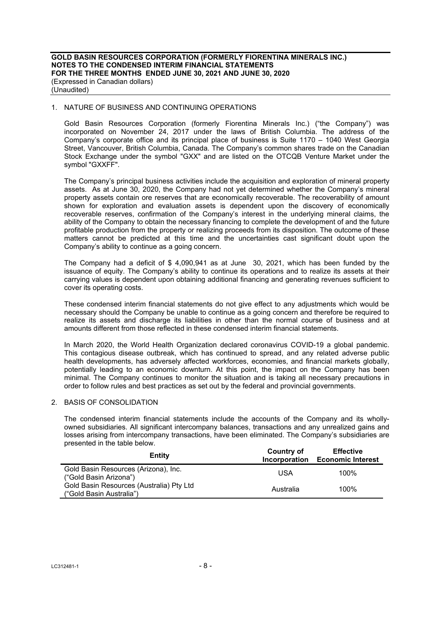## 1. NATURE OF BUSINESS AND CONTINUING OPERATIONS

Gold Basin Resources Corporation (formerly Fiorentina Minerals Inc.) ("the Company") was incorporated on November 24, 2017 under the laws of British Columbia. The address of the Company's corporate office and its principal place of business is Suite 1170 – 1040 West Georgia Street, Vancouver, British Columbia, Canada. The Company's common shares trade on the Canadian Stock Exchange under the symbol "GXX" and are listed on the OTCQB Venture Market under the symbol "GXXFF".

The Company's principal business activities include the acquisition and exploration of mineral property assets. As at June 30, 2020, the Company had not yet determined whether the Company's mineral property assets contain ore reserves that are economically recoverable. The recoverability of amount shown for exploration and evaluation assets is dependent upon the discovery of economically recoverable reserves, confirmation of the Company's interest in the underlying mineral claims, the ability of the Company to obtain the necessary financing to complete the development of and the future profitable production from the property or realizing proceeds from its disposition. The outcome of these matters cannot be predicted at this time and the uncertainties cast significant doubt upon the Company's ability to continue as a going concern.

The Company had a deficit of \$ 4,090,941 as at June 30, 2021, which has been funded by the issuance of equity. The Company's ability to continue its operations and to realize its assets at their carrying values is dependent upon obtaining additional financing and generating revenues sufficient to cover its operating costs.

These condensed interim financial statements do not give effect to any adjustments which would be necessary should the Company be unable to continue as a going concern and therefore be required to realize its assets and discharge its liabilities in other than the normal course of business and at amounts different from those reflected in these condensed interim financial statements.

In March 2020, the World Health Organization declared coronavirus COVID-19 a global pandemic. This contagious disease outbreak, which has continued to spread, and any related adverse public health developments, has adversely affected workforces, economies, and financial markets globally, potentially leading to an economic downturn. At this point, the impact on the Company has been minimal. The Company continues to monitor the situation and is taking all necessary precautions in order to follow rules and best practices as set out by the federal and provincial governments.

## 2. BASIS OF CONSOLIDATION

The condensed interim financial statements include the accounts of the Company and its whollyowned subsidiaries. All significant intercompany balances, transactions and any unrealized gains and losses arising from intercompany transactions, have been eliminated. The Company's subsidiaries are presented in the table below.

| Entity                                                               | Country of<br><b>Incorporation</b> | <b>Effective</b><br><b>Economic Interest</b> |
|----------------------------------------------------------------------|------------------------------------|----------------------------------------------|
| Gold Basin Resources (Arizona), Inc.<br>("Gold Basin Arizona")       | USA                                | 100%                                         |
| Gold Basin Resources (Australia) Pty Ltd<br>("Gold Basin Australia") | Australia                          | 100%                                         |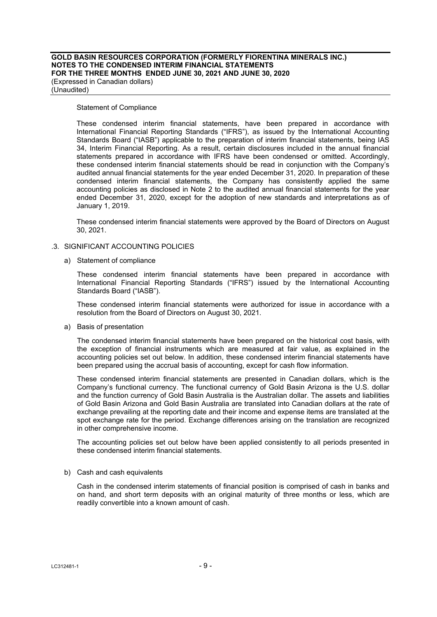#### **GOLD BASIN RESOURCES CORPORATION (FORMERLY FIORENTINA MINERALS INC.) NOTES TO THE CONDENSED INTERIM FINANCIAL STATEMENTS FOR THE THREE MONTHS ENDED JUNE 30, 2021 AND JUNE 30, 2020**  (Expressed in Canadian dollars) (Unaudited)

#### Statement of Compliance

These condensed interim financial statements, have been prepared in accordance with International Financial Reporting Standards ("IFRS"), as issued by the International Accounting Standards Board ("IASB") applicable to the preparation of interim financial statements, being IAS 34, Interim Financial Reporting. As a result, certain disclosures included in the annual financial statements prepared in accordance with IFRS have been condensed or omitted. Accordingly, these condensed interim financial statements should be read in conjunction with the Company's audited annual financial statements for the year ended December 31, 2020. In preparation of these condensed interim financial statements, the Company has consistently applied the same accounting policies as disclosed in Note 2 to the audited annual financial statements for the year ended December 31, 2020, except for the adoption of new standards and interpretations as of January 1, 2019.

These condensed interim financial statements were approved by the Board of Directors on August 30, 2021.

#### .3. SIGNIFICANT ACCOUNTING POLICIES

a) Statement of compliance

These condensed interim financial statements have been prepared in accordance with International Financial Reporting Standards ("IFRS") issued by the International Accounting Standards Board ("IASB").

These condensed interim financial statements were authorized for issue in accordance with a resolution from the Board of Directors on August 30, 2021.

a) Basis of presentation

The condensed interim financial statements have been prepared on the historical cost basis, with the exception of financial instruments which are measured at fair value, as explained in the accounting policies set out below. In addition, these condensed interim financial statements have been prepared using the accrual basis of accounting, except for cash flow information.

These condensed interim financial statements are presented in Canadian dollars, which is the Company's functional currency. The functional currency of Gold Basin Arizona is the U.S. dollar and the function currency of Gold Basin Australia is the Australian dollar. The assets and liabilities of Gold Basin Arizona and Gold Basin Australia are translated into Canadian dollars at the rate of exchange prevailing at the reporting date and their income and expense items are translated at the spot exchange rate for the period. Exchange differences arising on the translation are recognized in other comprehensive income.

The accounting policies set out below have been applied consistently to all periods presented in these condensed interim financial statements.

#### b) Cash and cash equivalents

Cash in the condensed interim statements of financial position is comprised of cash in banks and on hand, and short term deposits with an original maturity of three months or less, which are readily convertible into a known amount of cash.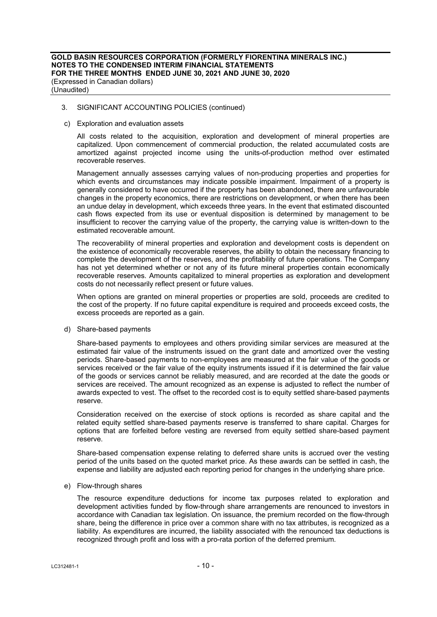c) Exploration and evaluation assets

All costs related to the acquisition, exploration and development of mineral properties are capitalized. Upon commencement of commercial production, the related accumulated costs are amortized against projected income using the units-of-production method over estimated recoverable reserves.

Management annually assesses carrying values of non-producing properties and properties for which events and circumstances may indicate possible impairment. Impairment of a property is generally considered to have occurred if the property has been abandoned, there are unfavourable changes in the property economics, there are restrictions on development, or when there has been an undue delay in development, which exceeds three years. In the event that estimated discounted cash flows expected from its use or eventual disposition is determined by management to be insufficient to recover the carrying value of the property, the carrying value is written-down to the estimated recoverable amount.

The recoverability of mineral properties and exploration and development costs is dependent on the existence of economically recoverable reserves, the ability to obtain the necessary financing to complete the development of the reserves, and the profitability of future operations. The Company has not yet determined whether or not any of its future mineral properties contain economically recoverable reserves. Amounts capitalized to mineral properties as exploration and development costs do not necessarily reflect present or future values.

When options are granted on mineral properties or properties are sold, proceeds are credited to the cost of the property. If no future capital expenditure is required and proceeds exceed costs, the excess proceeds are reported as a gain.

d) Share-based payments

Share-based payments to employees and others providing similar services are measured at the estimated fair value of the instruments issued on the grant date and amortized over the vesting periods. Share-based payments to non-employees are measured at the fair value of the goods or services received or the fair value of the equity instruments issued if it is determined the fair value of the goods or services cannot be reliably measured, and are recorded at the date the goods or services are received. The amount recognized as an expense is adjusted to reflect the number of awards expected to vest. The offset to the recorded cost is to equity settled share-based payments reserve.

Consideration received on the exercise of stock options is recorded as share capital and the related equity settled share-based payments reserve is transferred to share capital. Charges for options that are forfeited before vesting are reversed from equity settled share-based payment reserve.

Share-based compensation expense relating to deferred share units is accrued over the vesting period of the units based on the quoted market price. As these awards can be settled in cash, the expense and liability are adjusted each reporting period for changes in the underlying share price.

#### e) Flow-through shares

The resource expenditure deductions for income tax purposes related to exploration and development activities funded by flow-through share arrangements are renounced to investors in accordance with Canadian tax legislation. On issuance, the premium recorded on the flow-through share, being the difference in price over a common share with no tax attributes, is recognized as a liability. As expenditures are incurred, the liability associated with the renounced tax deductions is recognized through profit and loss with a pro-rata portion of the deferred premium.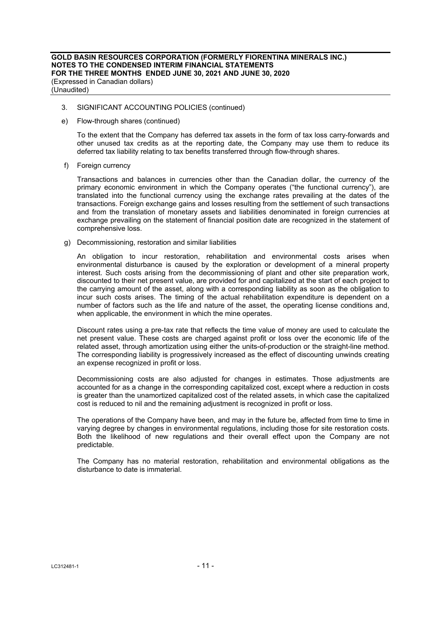- 3. SIGNIFICANT ACCOUNTING POLICIES (continued)
- e) Flow-through shares (continued)

To the extent that the Company has deferred tax assets in the form of tax loss carry-forwards and other unused tax credits as at the reporting date, the Company may use them to reduce its deferred tax liability relating to tax benefits transferred through flow-through shares.

f) Foreign currency

Transactions and balances in currencies other than the Canadian dollar, the currency of the primary economic environment in which the Company operates ("the functional currency"), are translated into the functional currency using the exchange rates prevailing at the dates of the transactions. Foreign exchange gains and losses resulting from the settlement of such transactions and from the translation of monetary assets and liabilities denominated in foreign currencies at exchange prevailing on the statement of financial position date are recognized in the statement of comprehensive loss.

g) Decommissioning, restoration and similar liabilities

An obligation to incur restoration, rehabilitation and environmental costs arises when environmental disturbance is caused by the exploration or development of a mineral property interest. Such costs arising from the decommissioning of plant and other site preparation work, discounted to their net present value, are provided for and capitalized at the start of each project to the carrying amount of the asset, along with a corresponding liability as soon as the obligation to incur such costs arises. The timing of the actual rehabilitation expenditure is dependent on a number of factors such as the life and nature of the asset, the operating license conditions and, when applicable, the environment in which the mine operates.

Discount rates using a pre-tax rate that reflects the time value of money are used to calculate the net present value. These costs are charged against profit or loss over the economic life of the related asset, through amortization using either the units-of-production or the straight-line method. The corresponding liability is progressively increased as the effect of discounting unwinds creating an expense recognized in profit or loss.

Decommissioning costs are also adjusted for changes in estimates. Those adjustments are accounted for as a change in the corresponding capitalized cost, except where a reduction in costs is greater than the unamortized capitalized cost of the related assets, in which case the capitalized cost is reduced to nil and the remaining adjustment is recognized in profit or loss.

The operations of the Company have been, and may in the future be, affected from time to time in varying degree by changes in environmental regulations, including those for site restoration costs. Both the likelihood of new regulations and their overall effect upon the Company are not predictable.

The Company has no material restoration, rehabilitation and environmental obligations as the disturbance to date is immaterial.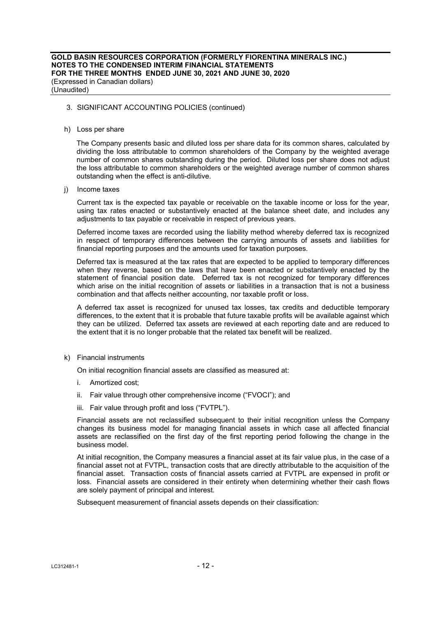h) Loss per share

 The Company presents basic and diluted loss per share data for its common shares, calculated by dividing the loss attributable to common shareholders of the Company by the weighted average number of common shares outstanding during the period. Diluted loss per share does not adjust the loss attributable to common shareholders or the weighted average number of common shares outstanding when the effect is anti-dilutive.

j) Income taxes

 Current tax is the expected tax payable or receivable on the taxable income or loss for the year, using tax rates enacted or substantively enacted at the balance sheet date, and includes any adjustments to tax payable or receivable in respect of previous years.

 Deferred income taxes are recorded using the liability method whereby deferred tax is recognized in respect of temporary differences between the carrying amounts of assets and liabilities for financial reporting purposes and the amounts used for taxation purposes.

 Deferred tax is measured at the tax rates that are expected to be applied to temporary differences when they reverse, based on the laws that have been enacted or substantively enacted by the statement of financial position date. Deferred tax is not recognized for temporary differences which arise on the initial recognition of assets or liabilities in a transaction that is not a business combination and that affects neither accounting, nor taxable profit or loss.

 A deferred tax asset is recognized for unused tax losses, tax credits and deductible temporary differences, to the extent that it is probable that future taxable profits will be available against which they can be utilized. Deferred tax assets are reviewed at each reporting date and are reduced to the extent that it is no longer probable that the related tax benefit will be realized.

k) Financial instruments

On initial recognition financial assets are classified as measured at:

- i. Amortized cost;
- ii. Fair value through other comprehensive income ("FVOCI"); and
- iii. Fair value through profit and loss ("FVTPL").

Financial assets are not reclassified subsequent to their initial recognition unless the Company changes its business model for managing financial assets in which case all affected financial assets are reclassified on the first day of the first reporting period following the change in the business model.

At initial recognition, the Company measures a financial asset at its fair value plus, in the case of a financial asset not at FVTPL, transaction costs that are directly attributable to the acquisition of the financial asset. Transaction costs of financial assets carried at FVTPL are expensed in profit or loss. Financial assets are considered in their entirety when determining whether their cash flows are solely payment of principal and interest.

Subsequent measurement of financial assets depends on their classification: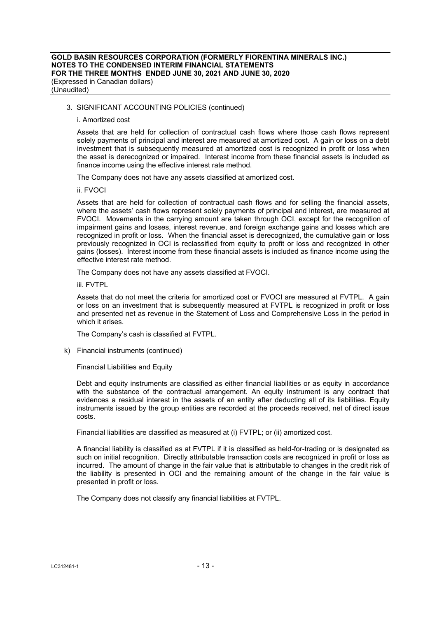#### i. Amortized cost

Assets that are held for collection of contractual cash flows where those cash flows represent solely payments of principal and interest are measured at amortized cost. A gain or loss on a debt investment that is subsequently measured at amortized cost is recognized in profit or loss when the asset is derecognized or impaired. Interest income from these financial assets is included as finance income using the effective interest rate method.

The Company does not have any assets classified at amortized cost.

ii. FVOCI

Assets that are held for collection of contractual cash flows and for selling the financial assets, where the assets' cash flows represent solely payments of principal and interest, are measured at FVOCI. Movements in the carrying amount are taken through OCI, except for the recognition of impairment gains and losses, interest revenue, and foreign exchange gains and losses which are recognized in profit or loss. When the financial asset is derecognized, the cumulative gain or loss previously recognized in OCI is reclassified from equity to profit or loss and recognized in other gains (losses). Interest income from these financial assets is included as finance income using the effective interest rate method.

The Company does not have any assets classified at FVOCI.

iii. FVTPL

Assets that do not meet the criteria for amortized cost or FVOCI are measured at FVTPL. A gain or loss on an investment that is subsequently measured at FVTPL is recognized in profit or loss and presented net as revenue in the Statement of Loss and Comprehensive Loss in the period in which it arises.

The Company's cash is classified at FVTPL.

k) Financial instruments (continued)

Financial Liabilities and Equity

Debt and equity instruments are classified as either financial liabilities or as equity in accordance with the substance of the contractual arrangement. An equity instrument is any contract that evidences a residual interest in the assets of an entity after deducting all of its liabilities. Equity instruments issued by the group entities are recorded at the proceeds received, net of direct issue costs.

Financial liabilities are classified as measured at (i) FVTPL; or (ii) amortized cost.

A financial liability is classified as at FVTPL if it is classified as held-for-trading or is designated as such on initial recognition. Directly attributable transaction costs are recognized in profit or loss as incurred. The amount of change in the fair value that is attributable to changes in the credit risk of the liability is presented in OCI and the remaining amount of the change in the fair value is presented in profit or loss.

The Company does not classify any financial liabilities at FVTPL.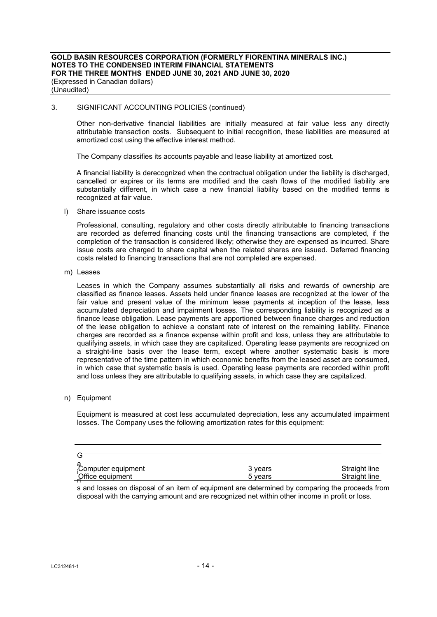Other non-derivative financial liabilities are initially measured at fair value less any directly attributable transaction costs. Subsequent to initial recognition, these liabilities are measured at amortized cost using the effective interest method.

The Company classifies its accounts payable and lease liability at amortized cost.

A financial liability is derecognized when the contractual obligation under the liability is discharged, cancelled or expires or its terms are modified and the cash flows of the modified liability are substantially different, in which case a new financial liability based on the modified terms is recognized at fair value.

l) Share issuance costs

Professional, consulting, regulatory and other costs directly attributable to financing transactions are recorded as deferred financing costs until the financing transactions are completed, if the completion of the transaction is considered likely; otherwise they are expensed as incurred. Share issue costs are charged to share capital when the related shares are issued. Deferred financing costs related to financing transactions that are not completed are expensed.

m) Leases

Leases in which the Company assumes substantially all risks and rewards of ownership are classified as finance leases. Assets held under finance leases are recognized at the lower of the fair value and present value of the minimum lease payments at inception of the lease, less accumulated depreciation and impairment losses. The corresponding liability is recognized as a finance lease obligation. Lease payments are apportioned between finance charges and reduction of the lease obligation to achieve a constant rate of interest on the remaining liability. Finance charges are recorded as a finance expense within profit and loss, unless they are attributable to qualifying assets, in which case they are capitalized. Operating lease payments are recognized on a straight-line basis over the lease term, except where another systematic basis is more representative of the time pattern in which economic benefits from the leased asset are consumed, in which case that systematic basis is used. Operating lease payments are recorded within profit and loss unless they are attributable to qualifying assets, in which case they are capitalized.

## n) Equipment

Equipment is measured at cost less accumulated depreciation, less any accumulated impairment losses. The Company uses the following amortization rates for this equipment:

| Computer equipment | 3 years | Straight line |
|--------------------|---------|---------------|
| Office equipment   | 5 years | Straight line |

s and losses on disposal of an item of equipment are determined by comparing the proceeds from disposal with the carrying amount and are recognized net within other income in profit or loss.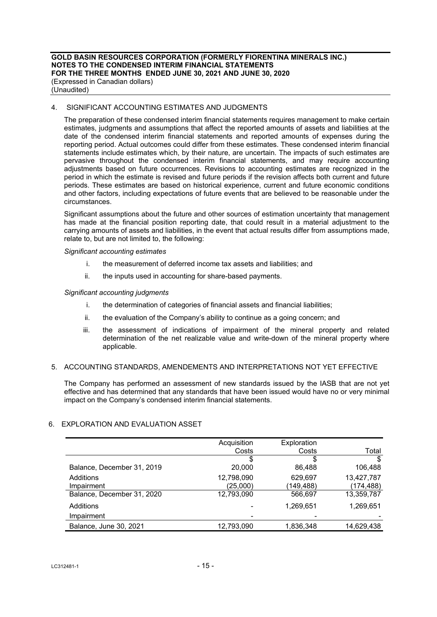## 4. SIGNIFICANT ACCOUNTING ESTIMATES AND JUDGMENTS

The preparation of these condensed interim financial statements requires management to make certain estimates, judgments and assumptions that affect the reported amounts of assets and liabilities at the date of the condensed interim financial statements and reported amounts of expenses during the reporting period. Actual outcomes could differ from these estimates. These condensed interim financial statements include estimates which, by their nature, are uncertain. The impacts of such estimates are pervasive throughout the condensed interim financial statements, and may require accounting adjustments based on future occurrences. Revisions to accounting estimates are recognized in the period in which the estimate is revised and future periods if the revision affects both current and future periods. These estimates are based on historical experience, current and future economic conditions and other factors, including expectations of future events that are believed to be reasonable under the circumstances.

Significant assumptions about the future and other sources of estimation uncertainty that management has made at the financial position reporting date, that could result in a material adjustment to the carrying amounts of assets and liabilities, in the event that actual results differ from assumptions made, relate to, but are not limited to, the following:

#### *Significant accounting estimates*

- i. the measurement of deferred income tax assets and liabilities; and
- ii. the inputs used in accounting for share-based payments.

## *Significant accounting judgments*

- i. the determination of categories of financial assets and financial liabilities;
- ii. the evaluation of the Company's ability to continue as a going concern; and
- iii. the assessment of indications of impairment of the mineral property and related determination of the net realizable value and write-down of the mineral property where applicable.

#### 5. ACCOUNTING STANDARDS, AMENDEMENTS AND INTERPRETATIONS NOT YET EFFECTIVE

The Company has performed an assessment of new standards issued by the IASB that are not yet effective and has determined that any standards that have been issued would have no or very minimal impact on the Company's condensed interim financial statements.

# 6. EXPLORATION AND EVALUATION ASSET

|                            | Acquisition | Exploration |            |
|----------------------------|-------------|-------------|------------|
|                            | Costs       | Costs       | Total      |
|                            | \$          | \$          | \$         |
| Balance, December 31, 2019 | 20,000      | 86,488      | 106,488    |
| Additions                  | 12,798,090  | 629,697     | 13,427,787 |
| Impairment                 | (25,000)    | (149,488)   | (174,488)  |
| Balance, December 31, 2020 | 12,793,090  | 566,697     | 13,359,787 |
| Additions                  |             | 1,269,651   | 1,269,651  |
| Impairment                 |             |             |            |
| Balance, June 30, 2021     | 12,793,090  | 1,836,348   | 14,629,438 |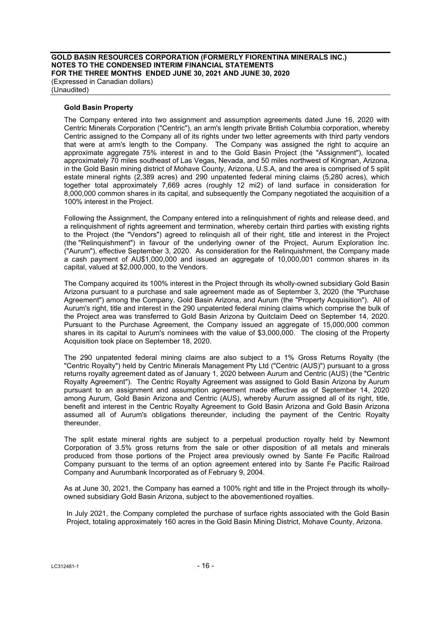## **Gold Basin Property**

The Company entered into two assignment and assumption agreements dated June 16, 2020 with Centric Minerals Corporation ("Centric"), an arm's length private British Columbia corporation, whereby Centric assigned to the Company all of its rights under two letter agreements with third party vendors that were at arm's length to the Company. The Company was assigned the right to acquire an approximate aggregate 75% interest in and to the Gold Basin Project (the "Assignment"), located approximately 70 miles southeast of Las Vegas, Nevada, and 50 miles northwest of Kingman, Arizona, in the Gold Basin mining district of Mohave County, Arizona, U.S.A, and the area is comprised of 5 split estate mineral rights (2,389 acres) and 290 unpatented federal mining claims (5,280 acres), which together total approximately 7,669 acres (roughly 12 mi2) of land surface in consideration for 8,000,000 common shares in its capital, and subsequently the Company negotiated the acquisition of a 100% interest in the Project.

Following the Assignment, the Company entered into a relinquishment of rights and release deed, and a relinquishment of rights agreement and termination, whereby certain third parties with existing rights to the Project (the "Vendors") agreed to relinquish all of their right, title and interest in the Project (the "Relinquishment") in favour of the underlying owner of the Project, Aurum Exploration Inc. ("Aurum"), effective September 3, 2020. As consideration for the Relinquishment, the Company made a cash payment of AU\$1,000,000 and issued an aggregate of 10,000,001 common shares in its capital, valued at \$2,000,000, to the Vendors.

The Company acquired its 100% interest in the Project through its wholly-owned subsidiary Gold Basin Arizona pursuant to a purchase and sale agreement made as of September 3, 2020 (the "Purchase Agreement") among the Company, Gold Basin Arizona, and Aurum (the "Property Acquisition"). All of Aurum's right, title and interest in the 290 unpatented federal mining claims which comprise the bulk of the Project area was transferred to Gold Basin Arizona by Quitclaim Deed on September 14, 2020. Pursuant to the Purchase Agreement, the Company issued an aggregate of 15,000,000 common shares in its capital to Aurum's nominees with the value of \$3,000,000. The closing of the Property Acquisition took place on September 18, 2020.

The 290 unpatented federal mining claims are also subject to a 1% Gross Returns Royalty (the "Centric Royalty") held by Centric Minerals Management Pty Ltd ("Centric (AUS)") pursuant to a gross returns royalty agreement dated as of January 1, 2020 between Aurum and Centric (AUS) (the "Centric Royalty Agreement"). The Centric Royalty Agreement was assigned to Gold Basin Arizona by Aurum pursuant to an assignment and assumption agreement made effective as of September 14, 2020 among Aurum, Gold Basin Arizona and Centric (AUS), whereby Aurum assigned all of its right, title, benefit and interest in the Centric Royalty Agreement to Gold Basin Arizona and Gold Basin Arizona assumed all of Aurum's obligations thereunder, including the payment of the Centric Royalty thereunder.

The split estate mineral rights are subject to a perpetual production royalty held by Newmont Corporation of 3.5% gross returns from the sale or other disposition of all metals and minerals produced from those portions of the Project area previously owned by Sante Fe Pacific Railroad Company pursuant to the terms of an option agreement entered into by Sante Fe Pacific Railroad Company and Aurumbank Incorporated as of February 9, 2004.

As at June 30, 2021, the Company has earned a 100% right and title in the Project through its whollyowned subsidiary Gold Basin Arizona, subject to the abovementioned royalties.

In July 2021, the Company completed the purchase of surface rights associated with the Gold Basin Project, totaling approximately 160 acres in the Gold Basin Mining District, Mohave County, Arizona.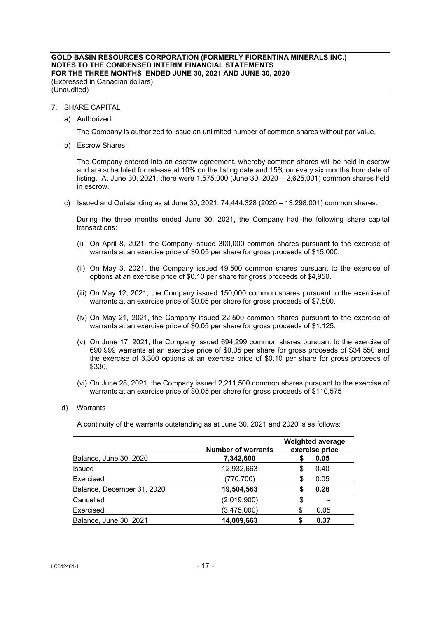## 7. SHARE CAPITAL

a) Authorized:

The Company is authorized to issue an unlimited number of common shares without par value.

b) Escrow Shares:

The Company entered into an escrow agreement, whereby common shares will be held in escrow and are scheduled for release at 10% on the listing date and 15% on every six months from date of listing. At June 30, 2021, there were 1,575,000 (June 30, 2020 – 2,625,001) common shares held in escrow.

c) Issued and Outstanding as at June 30, 2021: 74,444,328 (2020 – 13,298,001) common shares.

During the three months ended June 30, 2021, the Company had the following share capital transactions:

- (i) On April 8, 2021, the Company issued 300,000 common shares pursuant to the exercise of warrants at an exercise price of \$0.05 per share for gross proceeds of \$15,000.
- (ii) On May 3, 2021, the Company issued 49,500 common shares pursuant to the exercise of options at an exercise price of \$0.10 per share for gross proceeds of \$4,950.
- (iii) On May 12, 2021, the Company issued 150,000 common shares pursuant to the exercise of warrants at an exercise price of \$0.05 per share for gross proceeds of \$7,500.
- (iv) On May 21, 2021, the Company issued 22,500 common shares pursuant to the exercise of warrants at an exercise price of \$0.05 per share for gross proceeds of \$1,125.
- (v) On June 17, 2021, the Company issued 694,299 common shares pursuant to the exercise of 690,999 warrants at an exercise price of \$0.05 per share for gross proceeds of \$34,550 and the exercise of 3,300 options at an exercise price of \$0.10 per share for gross proceeds of \$330.
- (vi) On June 28, 2021, the Company issued 2,211,500 common shares pursuant to the exercise of warrants at an exercise price of \$0.05 per share for gross proceeds of \$110,575

#### d) Warrants

A continuity of the warrants outstanding as at June 30, 2021 and 2020 is as follows:

|                            | <b>Number of warrants</b> |    | <b>Weighted average</b><br>exercise price |
|----------------------------|---------------------------|----|-------------------------------------------|
| Balance, June 30, 2020     | 7,342,600                 |    | 0.05                                      |
| Issued                     | 12,932,663                | S  | 0.40                                      |
| Exercised                  | (770,700)                 | S  | 0.05                                      |
| Balance, December 31, 2020 | 19,504,563                | S  | 0.28                                      |
| Cancelled                  | (2,019,900)               | \$ |                                           |
| Exercised                  | (3,475,000)               | \$ | 0.05                                      |
| Balance, June 30, 2021     | 14,009,663                |    | 0.37                                      |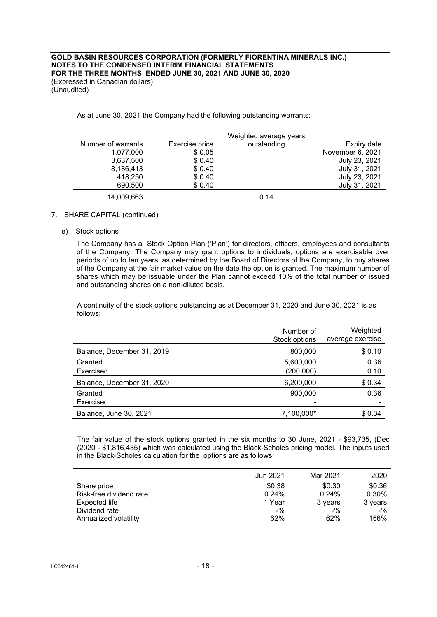|                    |                | Weighted average years |                  |
|--------------------|----------------|------------------------|------------------|
| Number of warrants | Exercise price | outstanding            | Expiry date      |
| 1,077,000          | \$0.05         |                        | November 6, 2021 |
| 3,637,500          | \$0.40         |                        | July 23, 2021    |
| 8,186,413          | \$0.40         |                        | July 31, 2021    |
| 418,250            | \$0.40         |                        | July 23, 2021    |
| 690,500            | \$0.40         |                        | July 31, 2021    |
| 14,009,663         |                | 0.14                   |                  |

As at June 30, 2021 the Company had the following outstanding warrants:

## 7. SHARE CAPITAL (continued)

e) Stock options

The Company has a Stock Option Plan ('Plan') for directors, officers, employees and consultants of the Company. The Company may grant options to individuals, options are exercisable over periods of up to ten years, as determined by the Board of Directors of the Company, to buy shares of the Company at the fair market value on the date the option is granted. The maximum number of shares which may be issuable under the Plan cannot exceed 10% of the total number of issued and outstanding shares on a non-diluted basis.

A continuity of the stock options outstanding as at December 31, 2020 and June 30, 2021 is as follows:

|                            | Number of<br>Stock options | Weighted<br>average exercise |
|----------------------------|----------------------------|------------------------------|
| Balance, December 31, 2019 | 800,000                    | \$0.10                       |
| Granted<br>Exercised       | 5,600,000<br>(200,000)     | 0.36<br>0.10                 |
| Balance, December 31, 2020 | 6,200,000                  | \$0.34                       |
| Granted<br>Exercised       | 900.000                    | 0.36                         |
| Balance, June 30, 2021     | 7,100,000*                 | \$0.34                       |

The fair value of the stock options granted in the six months to 30 June, 2021 - \$93,735, (Dec (2020 - \$1,816,435) which was calculated using the Black-Scholes pricing model. The inputs used in the Black-Scholes calculation for the options are as follows:

|                         | Jun 2021 | Mar 2021 | 2020    |
|-------------------------|----------|----------|---------|
| Share price             | \$0.38   | \$0.30   | \$0.36  |
| Risk-free dividend rate | 0.24%    | 0.24%    | 0.30%   |
| Expected life           | 1 Year   | 3 years  | 3 years |
| Dividend rate           | $-$ %    | $-$ %    | $-$ %   |
| Annualized volatility   | 62%      | 62%      | 156%    |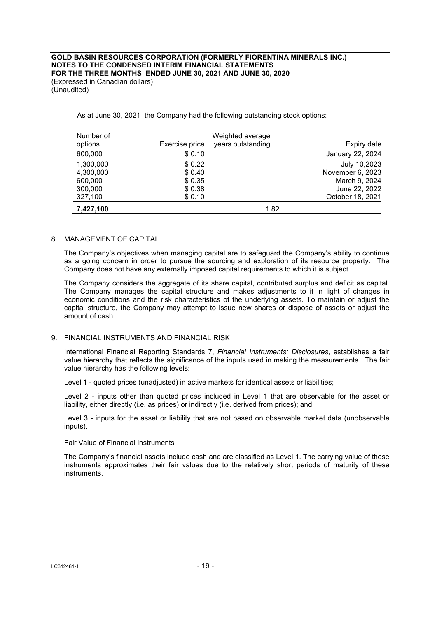| Number of<br>options | Exercise price | Weighted average<br>years outstanding | Expiry date      |
|----------------------|----------------|---------------------------------------|------------------|
| 600,000              | \$0.10         |                                       | January 22, 2024 |
|                      |                |                                       |                  |
| 1,300,000            | \$0.22         |                                       | July 10,2023     |
| 4,300,000            | \$0.40         |                                       | November 6, 2023 |
| 600,000              | \$ 0.35        |                                       | March 9, 2024    |
| 300,000              | \$0.38         |                                       | June 22, 2022    |
| 327,100              | \$0.10         |                                       | October 18, 2021 |
| 7,427,100            |                | 1.82                                  |                  |

As at June 30, 2021 the Company had the following outstanding stock options:

## 8. MANAGEMENT OF CAPITAL

The Company's objectives when managing capital are to safeguard the Company's ability to continue as a going concern in order to pursue the sourcing and exploration of its resource property. The Company does not have any externally imposed capital requirements to which it is subject.

The Company considers the aggregate of its share capital, contributed surplus and deficit as capital. The Company manages the capital structure and makes adjustments to it in light of changes in economic conditions and the risk characteristics of the underlying assets. To maintain or adjust the capital structure, the Company may attempt to issue new shares or dispose of assets or adjust the amount of cash.

## 9. FINANCIAL INSTRUMENTS AND FINANCIAL RISK

International Financial Reporting Standards 7, *Financial Instruments: Disclosures*, establishes a fair value hierarchy that reflects the significance of the inputs used in making the measurements. The fair value hierarchy has the following levels:

Level 1 - quoted prices (unadjusted) in active markets for identical assets or liabilities;

Level 2 - inputs other than quoted prices included in Level 1 that are observable for the asset or liability, either directly (i.e. as prices) or indirectly (i.e. derived from prices); and

Level 3 - inputs for the asset or liability that are not based on observable market data (unobservable inputs).

Fair Value of Financial Instruments

The Company's financial assets include cash and are classified as Level 1. The carrying value of these instruments approximates their fair values due to the relatively short periods of maturity of these instruments.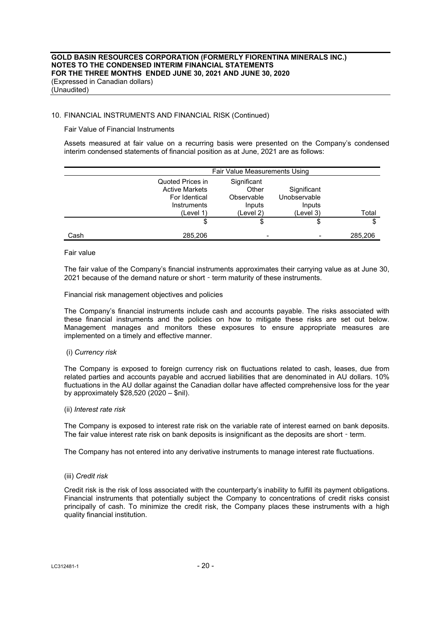## 10. FINANCIAL INSTRUMENTS AND FINANCIAL RISK (Continued)

Fair Value of Financial Instruments

Assets measured at fair value on a recurring basis were presented on the Company's condensed interim condensed statements of financial position as at June, 2021 are as follows:

|      | Fair Value Measurements Using                                                          |                                                           |                                                    |         |
|------|----------------------------------------------------------------------------------------|-----------------------------------------------------------|----------------------------------------------------|---------|
|      | Quoted Prices in<br><b>Active Markets</b><br>For Identical<br>Instruments<br>(Level 1) | Significant<br>Other<br>Observable<br>Inputs<br>(Level 2) | Significant<br>Unobservable<br>Inputs<br>(Level 3) | Total   |
|      |                                                                                        | \$                                                        | \$                                                 | \$      |
| Cash | 285.206                                                                                |                                                           |                                                    | 285,206 |

## Fair value

The fair value of the Company's financial instruments approximates their carrying value as at June 30, 2021 because of the demand nature or short - term maturity of these instruments.

Financial risk management objectives and policies

The Company's financial instruments include cash and accounts payable. The risks associated with these financial instruments and the policies on how to mitigate these risks are set out below. Management manages and monitors these exposures to ensure appropriate measures are implemented on a timely and effective manner.

#### (i) *Currency risk*

The Company is exposed to foreign currency risk on fluctuations related to cash, leases, due from related parties and accounts payable and accrued liabilities that are denominated in AU dollars. 10% fluctuations in the AU dollar against the Canadian dollar have affected comprehensive loss for the year by approximately \$28,520 (2020 – \$nil).

#### (ii) *Interest rate risk*

The Company is exposed to interest rate risk on the variable rate of interest earned on bank deposits. The fair value interest rate risk on bank deposits is insignificant as the deposits are short - term.

The Company has not entered into any derivative instruments to manage interest rate fluctuations.

#### (iii) *Credit risk*

Credit risk is the risk of loss associated with the counterparty's inability to fulfill its payment obligations. Financial instruments that potentially subject the Company to concentrations of credit risks consist principally of cash. To minimize the credit risk, the Company places these instruments with a high quality financial institution.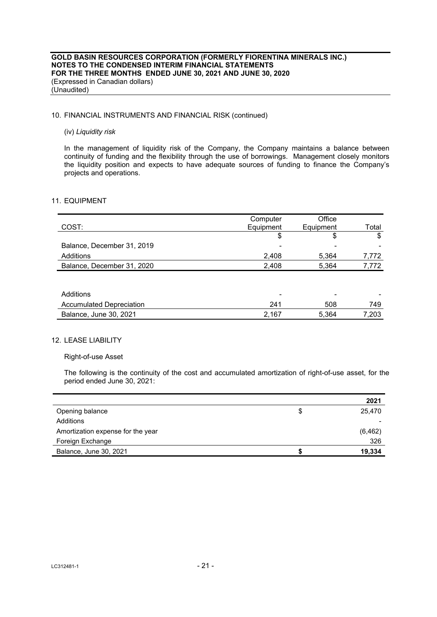## 10. FINANCIAL INSTRUMENTS AND FINANCIAL RISK (continued)

#### (iv) *Liquidity risk*

In the management of liquidity risk of the Company, the Company maintains a balance between continuity of funding and the flexibility through the use of borrowings. Management closely monitors the liquidity position and expects to have adequate sources of funding to finance the Company's projects and operations.

## 11. EQUIPMENT

|                                 | Computer  | Office    |       |
|---------------------------------|-----------|-----------|-------|
| COST:                           | Equipment | Equipment | Total |
|                                 | \$        | \$        | \$    |
| Balance, December 31, 2019      |           |           |       |
| Additions                       | 2,408     | 5,364     | 7,772 |
| Balance, December 31, 2020      | 2,408     | 5,364     | 7,772 |
|                                 |           |           |       |
|                                 |           |           |       |
| Additions                       |           |           |       |
| <b>Accumulated Depreciation</b> | 241       | 508       | 749   |
| Balance, June 30, 2021          | 2,167     | 5,364     | 7,203 |

# 12. LEASE LIABILITY

## Right-of-use Asset

The following is the continuity of the cost and accumulated amortization of right-of-use asset, for the period ended June 30, 2021:

|                                   |   | 2021     |
|-----------------------------------|---|----------|
| Opening balance                   | S | 25.470   |
| Additions                         |   |          |
| Amortization expense for the year |   | (6, 462) |
| Foreign Exchange                  |   | 326      |
| Balance, June 30, 2021            |   | 19,334   |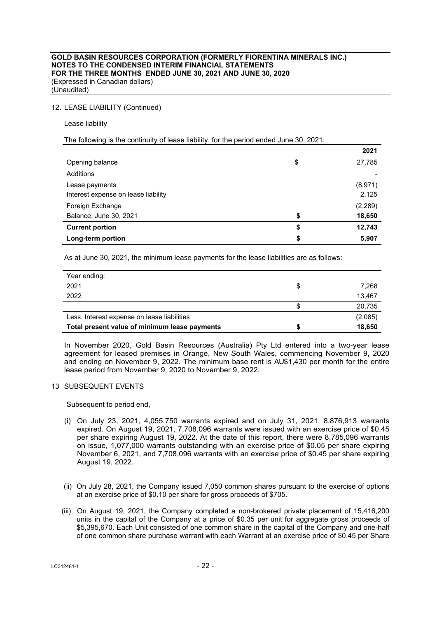## 12. LEASE LIABILITY (Continued)

Lease liability

## The following is the continuity of lease liability, for the period ended June 30, 2021:

|                                     |    | 2021    |
|-------------------------------------|----|---------|
| Opening balance                     | \$ | 27,785  |
| Additions                           |    |         |
| Lease payments                      |    | (8,971) |
| Interest expense on lease liability |    | 2,125   |
| Foreign Exchange                    |    | (2,289) |
| Balance, June 30, 2021              |    | 18,650  |
| <b>Current portion</b>              | \$ | 12,743  |
| Long-term portion                   | S  | 5,907   |

As at June 30, 2021, the minimum lease payments for the lease liabilities are as follows:

| Year ending:                                  |   |         |
|-----------------------------------------------|---|---------|
| 2021                                          | S | 7.268   |
| 2022                                          |   | 13,467  |
|                                               | S | 20,735  |
| Less: Interest expense on lease liabilities   |   | (2,085) |
| Total present value of minimum lease payments |   | 18,650  |

In November 2020, Gold Basin Resources (Australia) Pty Ltd entered into a two-year lease agreement for leased premises in Orange, New South Wales, commencing November 9, 2020 and ending on November 9, 2022. The minimum base rent is AU\$1,430 per month for the entire lease period from November 9, 2020 to November 9, 2022.

## 13 SUBSEQUENT EVENTS

Subsequent to period end,

- (i) On July 23, 2021, 4,055,750 warrants expired and on July 31, 2021, 8,876,913 warrants expired. On August 19, 2021, 7,708,096 warrants were issued with an exercise price of \$0.45 per share expiring August 19, 2022. At the date of this report, there were 8,785,096 warrants on issue, 1,077,000 warrants outstanding with an exercise price of \$0.05 per share expiring November 6, 2021, and 7,708,096 warrants with an exercise price of \$0.45 per share expiring August 19, 2022.
- (ii) On July 28, 2021, the Company issued 7,050 common shares pursuant to the exercise of options at an exercise price of \$0.10 per share for gross proceeds of \$705.
- (iii) On August 19, 2021, the Company completed a non-brokered private placement of 15,416,200 units in the capital of the Company at a price of \$0.35 per unit for aggregate gross proceeds of \$5,395,670. Each Unit consisted of one common share in the capital of the Company and one-half of one common share purchase warrant with each Warrant at an exercise price of \$0.45 per Share